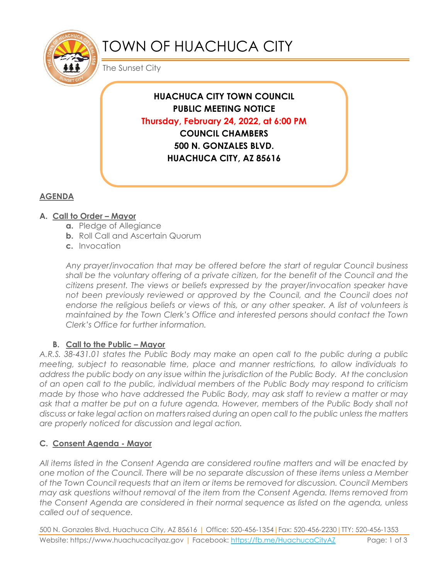

# TOWN OF HUACHUCA CITY

The Sunset City

**HUACHUCA CITY TOWN COUNCIL PUBLIC MEETING NOTICE Thursday, February 24, 2022, at 6:00 PM COUNCIL CHAMBERS 500 N. GONZALES BLVD. HUACHUCA CITY, AZ 85616**

## **AGENDA**

### **A. Call to Order – Mayor**

- **a.** Pledge of Allegiance
- **b.** Roll Call and Ascertain Quorum
- **c.** Invocation

*Any prayer/invocation that may be offered before the start of regular Council business shall be the voluntary offering of a private citizen, for the benefit of the Council and the citizens present. The views or beliefs expressed by the prayer/invocation speaker have*  not been previously reviewed or approved by the Council, and the Council does not endorse the religious beliefs or views of this, or any other speaker. A list of volunteers is *maintained by the Town Clerk's Office and interested persons should contact the Town Clerk's Office for further information.*

### **B.** Call to the Public – Mayor

*A.R.S. 38-431.01 states the Public Body may make an open call to the public during a public meeting, subject to reasonable time, place and manner restrictions, to allow individuals to address the public body on any issue within the jurisdiction of the Public Body. At the conclusion of an open call to the public, individual members of the Public Body may respond to criticism made by those who have addressed the Public Body, may ask staff to review a matter or may*  ask that a matter be put on a future agenda. However, members of the Public Body shall not *discuss or take legal action on matters raised during an open call to the public unless the matters are properly noticed for discussion and legal action.*

### **C. Consent Agenda - Mayor**

*All items listed in the Consent Agenda are considered routine matters and will be enacted by one motion of the Council. There will be no separate discussion of these items unless a Member of the Town Council requests that an item or items be removed for discussion. Council Members may ask questions without removal of the item from the Consent Agenda. Items removed from the Consent Agenda are considered in their normal sequence as listed on the agenda, unless called out of sequence.*

500 N. Gonzales Blvd, Huachuca City, AZ 85616 | Office: 520-456-1354|Fax: 520-456-2230|TTY: 520-456-1353 Website: https://www.huachucacityaz.gov | Facebook:<https://fb.me/HuachucaCityAZ> Page: 1 of 3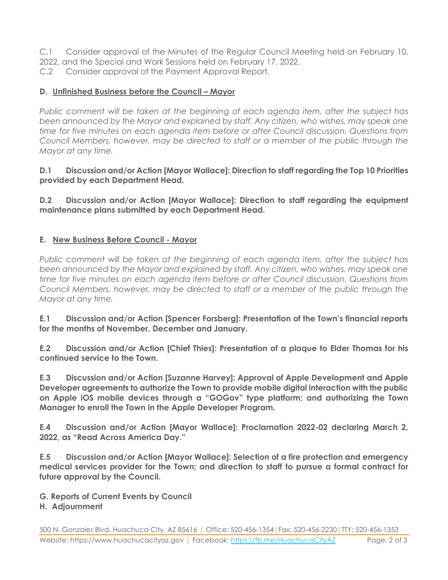C.1 Consider approval of the Minutes of the Regular Council Meeting held on February 10,

- 2022, and the Special and Work Sessions held on February 17, 2022.
- C.2 Consider approval of the Payment Approval Report.

### **D.** Unfinished Business before the Council – Mayor

*Public comment will be taken at the beginning of each agenda item, after the subject has been announced by the Mayor and explained by staff. Any citizen, who wishes, may speak one time for five minutes on each agenda item before or after Council discussion. Questions from Council Members, however, may be directed to staff or a member of the public through the Mayor at any time.*

#### **D.1 Discussion and/or Action [Mayor Wallace]: Direction to staff regarding the Top 10 Priorities provided by each Department Head.**

**D.2 Discussion and/or Action [Mayor Wallace]: Direction to staff regarding the equipment maintenance plans submitted by each Department Head.**

### **E. New Business Before Council - Mayor**

*Public comment will be taken at the beginning of each agenda item, after the subject has been announced by the Mayor and explained by staff. Any citizen, who wishes, may speak one time for five minutes on each agenda item before or after Council discussion. Questions from Council Members, however, may be directed to staff or a member of the public through the Mayor at any time.* 

**E.1 Discussion and/or Action [Spencer Forsberg]: Presentation of the Town's financial reports for the months of November, December and January.**

**E.2 Discussion and/or Action [Chief Thies]: Presentation of a plaque to Elder Thomas for his continued service to the Town.**

**E.3 Discussion and/or Action [Suzanne Harvey]: Approval of Apple Development and Apple Developer agreements to authorize the Town to provide mobile digital interaction with the public on Apple iOS mobile devices through a "GOGov" type platform; and authorizing the Town Manager to enroll the Town in the Apple Developer Program.** 

**E.4 Discussion and/or Action [Mayor Wallace]: Proclamation 2022-02 declaring March 2, 2022, as "Read Across America Day."**

**E.5 Discussion and/or Action [Mayor Wallace]: Selection of a fire protection and emergency medical services provider for the Town; and direction to staff to pursue a formal contract for future approval by the Council.**

**G. Reports of Current Events by Council**

### **H. Adjournment**